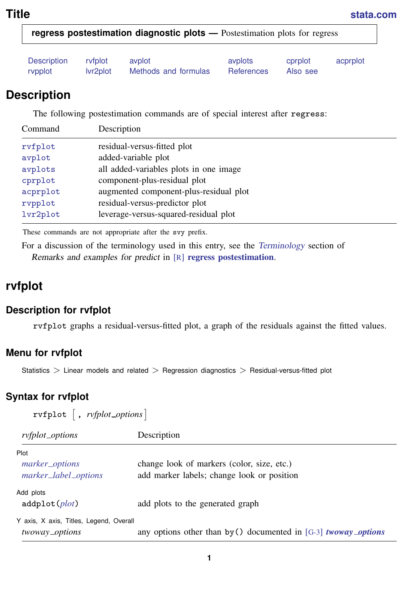<span id="page-0-3"></span><span id="page-0-0"></span>

| Description | ryfplot  | avplot               | avplots    | cprplot  | acprplot |
|-------------|----------|----------------------|------------|----------|----------|
| rvpplot     | lyr2plot | Methods and formulas | References | Also see |          |

# **Description**

The following postestimation commands are of special interest after regress:

| Command  | Description                            |
|----------|----------------------------------------|
| rvfplot  | residual-versus-fitted plot            |
| avplot   | added-variable plot                    |
| avplots  | all added-variables plots in one image |
| cprplot  | component-plus-residual plot           |
| acprplot | augmented component-plus-residual plot |
| rypplot  | residual-versus-predictor plot         |
| lvr2plot | leverage-versus-squared-residual plot  |

These commands are not appropriate after the svy prefix.

<span id="page-0-1"></span>For a discussion of the terminology used in this entry, see the [Terminology](https://www.stata.com/manuals/rregresspostestimation.pdf#rregresspostestimationPredictionsTerminology) section of Remarks and examples for predict in [R] [regress postestimation](https://www.stata.com/manuals/rregresspostestimation.pdf#rregresspostestimation).

# **rvfplot**

## **Description for rvfplot**

rvfplot graphs a residual-versus-fitted plot, a graph of the residuals against the fitted values.

# **Menu for rvfplot**

<span id="page-0-2"></span>Statistics > Linear models and related > Regression diagnostics > Residual-versus-fitted plot

# **Syntax for rvfplot**

| $rvfplot$ , $rvfplot\_options$                            |                                                                                          |  |  |  |
|-----------------------------------------------------------|------------------------------------------------------------------------------------------|--|--|--|
| ryfplot_options                                           | Description                                                                              |  |  |  |
| Plot<br>marker_options<br>marker_label_options            | change look of markers (color, size, etc.)<br>add marker labels; change look or position |  |  |  |
| Add plots<br>addplot(plot)                                | add plots to the generated graph                                                         |  |  |  |
| Y axis, X axis, Titles, Legend, Overall<br>twoway_options | any options other than by () documented in [G-3] <i>twoway_options</i>                   |  |  |  |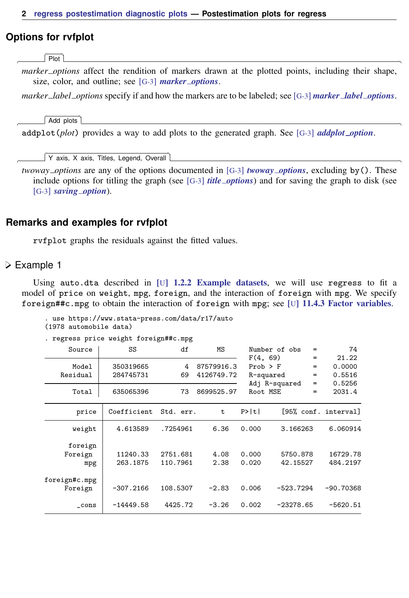#### **Options for rvfplot**

[Plot] Plot Letters and the contract of the contract of the contract of the contract of the contract of the contract of the contract of the contract of the contract of the contract of the contract of the contract of the contract

✄

 $\overline{a}$ 

 $\overline{a}$ 

*marker options* affect the rendition of markers drawn at the plotted points, including their shape, size, color, and outline; see [G-3] *marker [options](https://www.stata.com/manuals/g-3marker_options.pdf#g-3marker_options)*.

*marker label options* specify if and how the markers are to be labeled; see [G-3] *marker label [options](https://www.stata.com/manuals/g-3marker_label_options.pdf#g-3marker_label_options)*.

Add plots Add plots **be a set of the contract of the contract of the contract of the contract of the contract of the contract of the contract of the contract of the contract of the contract of the contract of the contract of the con** 

addplot(*plot*) provides a way to add plots to the generated graph. See [G-3] *[addplot](https://www.stata.com/manuals/g-3addplot_option.pdf#g-3addplot_option) option*.

✄ Y axis, X axis, Titles, Legend, Overall

*twoway options* are any of the options documented in [G-3] *[twoway](https://www.stata.com/manuals/g-3twoway_options.pdf#g-3twoway_options) options*, excluding by(). These include options for titling the graph (see [G-3] *title [options](https://www.stata.com/manuals/g-3title_options.pdf#g-3title_options)*) and for saving the graph to disk (see [G-3] *[saving](https://www.stata.com/manuals/g-3saving_option.pdf#g-3saving_option)\_option*).

#### **Remarks and examples for rvfplot**

rvfplot graphs the residuals against the fitted values.

Example 1

Using auto.dta described in  $[U]$  1.2.2 Example datasets, we will use regress to fit a model of price on weight, mpg, foreign, and the interaction of foreign with mpg. We specify foreign##c.mpg to obtain the interaction of foreign with mpg; see [U[\] 11.4.3 Factor variables](https://www.stata.com/manuals/u11.pdf#u11.4.3Factorvariables).

. use https://www.stata-press.com/data/r17/auto (1978 automobile data)

. regress price weight foreign##c.mpg

| Source                    | SS                     | df                   | ΜS                       | Number of obs                         | =                        | 74                                  |
|---------------------------|------------------------|----------------------|--------------------------|---------------------------------------|--------------------------|-------------------------------------|
| Model<br>Residual         | 350319665<br>284745731 | 4<br>69              | 87579916.3<br>4126749.72 | F(4, 69)<br>$Prob$ > $F$<br>R-squared | $=$<br>$=$<br>$=$<br>$=$ | 21.22<br>0.0000<br>0.5516<br>0.5256 |
| Total                     | 635065396              | 73                   | 8699525.97               | Adj R-squared<br>Root MSE             | $=$                      | 2031.4                              |
| price                     | Coefficient            | Std. err.            | t                        | P>  t                                 |                          | [95% conf. interval]                |
| weight                    | 4.613589               | .7254961             | 6.36                     | 0.000                                 | 3.166263                 | 6.060914                            |
| foreign<br>Foreign<br>mpg | 11240.33<br>263.1875   | 2751.681<br>110.7961 | 4.08<br>2.38             | 0.000<br>0.020                        | 5750.878<br>42.15527     | 16729.78<br>484.2197                |
| foreign#c.mpg<br>Foreign  | $-307.2166$            | 108.5307             | $-2.83$                  | 0.006                                 | $-523.7294$              | $-90.70368$                         |
| cons                      | $-14449.58$            | 4425.72              | $-3.26$                  | 0.002                                 | $-23278.65$              | $-5620.51$                          |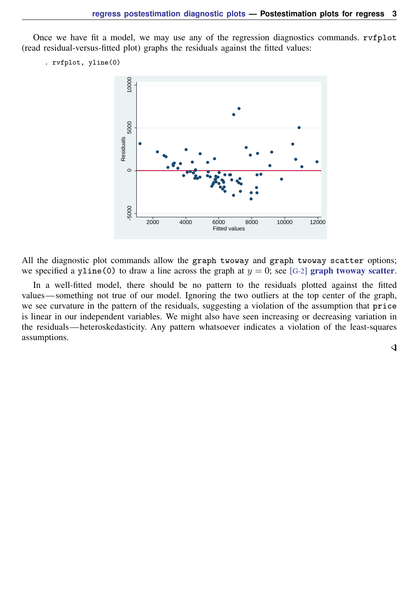Once we have fit a model, we may use any of the regression diagnostics commands. rvfplot (read residual-versus-fitted plot) graphs the residuals against the fitted values:

```
. rvfplot, yline(0)
```


All the diagnostic plot commands allow the graph twoway and graph twoway scatter options; we specified a yline(0) to draw a line across the graph at  $y = 0$ ; see [G-2] [graph twoway scatter](https://www.stata.com/manuals/g-2graphtwowayscatter.pdf#g-2graphtwowayscatter).

In a well-fitted model, there should be no pattern to the residuals plotted against the fitted values— something not true of our model. Ignoring the two outliers at the top center of the graph, we see curvature in the pattern of the residuals, suggesting a violation of the assumption that price is linear in our independent variables. We might also have seen increasing or decreasing variation in the residuals— heteroskedasticity. Any pattern whatsoever indicates a violation of the least-squares assumptions.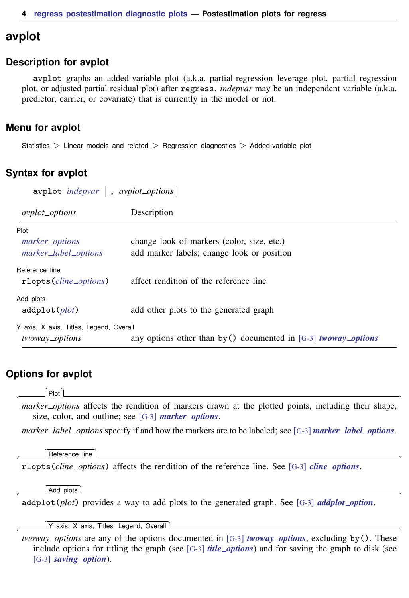# <span id="page-3-0"></span>**avplot**

#### **Description for avplot**

avplot graphs an added-variable plot (a.k.a. partial-regression leverage plot, partial regression plot, or adjusted partial residual plot) after regress. *indepvar* may be an independent variable (a.k.a. predictor, carrier, or covariate) that is currently in the model or not.

## **Menu for avplot**

<span id="page-3-1"></span>Statistics  $>$  Linear models and related  $>$  Regression diagnostics  $>$  Added-variable plot

## **Syntax for avplot**

 $\text{avplot}$  *[indepvar](https://www.stata.com/manuals/u11.pdf#u11.4varnameandvarlists)*  $\left[$  , *avplot\_options*  $\right]$ *avplot options* Description Plot *marker\_[options](https://www.stata.com/manuals/g-3marker_options.pdf#g-3marker_options)* change look of markers (color, size, etc.) *marker label [options](https://www.stata.com/manuals/g-3marker_label_options.pdf#g-3marker_label_options)* add marker labels; change look or position Reference line rlopts(*cline [options](https://www.stata.com/manuals/g-3cline_options.pdf#g-3cline_options)*) affect rendition of the reference line Add plots addplot(*[plot](https://www.stata.com/manuals/g-3addplot_option.pdf#g-3addplot_option)*) add other plots to the generated graph Y axis, X axis, Titles, Legend, Overall *twoway options* any options other than by() documented in [G-3] *[twoway](https://www.stata.com/manuals/g-3twoway_options.pdf#g-3twoway_options) options*

# **Options for avplot**

 $Piot$ Plot Letters and the contract of the contract of the contract of the contract of the contract of the contract of the contract of the contract of the contract of the contract of the contract of the contract of the contract

 $\overline{a}$ 

 $\overline{a}$ 

 $\overline{a}$ 

 $\overline{a}$ 

*marker options* affects the rendition of markers drawn at the plotted points, including their shape, size, color, and outline; see [G-3] *marker [options](https://www.stata.com/manuals/g-3marker_options.pdf#g-3marker_options)*.

*marker label options* specify if and how the markers are to be labeled; see [G-3] *marker label [options](https://www.stata.com/manuals/g-3marker_label_options.pdf#g-3marker_label_options)*.

Reference line Reference line **contract the contract of the contract of the contract of the contract of the contract of the contract of the contract of the contract of the contract of the contract of the contract of the contract of the c** 

rlopts(*cline options*) affects the rendition of the reference line. See [G-3] *cline [options](https://www.stata.com/manuals/g-3cline_options.pdf#g-3cline_options)*.

Add plots Add plots **contract to the contract of the contract of the contract of the contract of the contract of the contract of the contract of the contract of the contract of the contract of the contract of the contract of the con** 

addplot(*plot*) provides a way to add plots to the generated graph. See [G-3] *[addplot](https://www.stata.com/manuals/g-3addplot_option.pdf#g-3addplot_option) option*.

✄ Y axis, X axis, Titles, Legend, Overall

*twoway options* are any of the options documented in [G-3] *[twoway](https://www.stata.com/manuals/g-3twoway_options.pdf#g-3twoway_options) options*, excluding by(). These include options for titling the graph (see [G-3] *title [options](https://www.stata.com/manuals/g-3title_options.pdf#g-3title_options)*) and for saving the graph to disk (see [G-3] *[saving](https://www.stata.com/manuals/g-3saving_option.pdf#g-3saving_option)\_option*).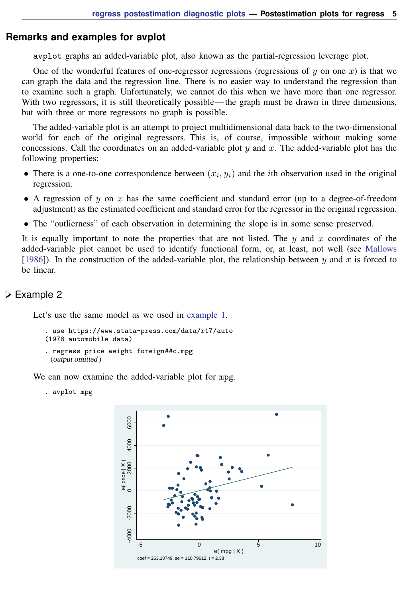#### **Remarks and examples for avplot**

avplot graphs an added-variable plot, also known as the partial-regression leverage plot.

One of the wonderful features of one-regressor regressions (regressions of  $y$  on one  $x$ ) is that we can graph the data and the regression line. There is no easier way to understand the regression than to examine such a graph. Unfortunately, we cannot do this when we have more than one regressor. With two regressors, it is still theoretically possible—the graph must be drawn in three dimensions, but with three or more regressors no graph is possible.

The added-variable plot is an attempt to project multidimensional data back to the two-dimensional world for each of the original regressors. This is, of course, impossible without making some concessions. Call the coordinates on an added-variable plot y and x. The added-variable plot has the following properties:

- There is a one-to-one correspondence between  $(x_i, y_i)$  and the *i*th observation used in the original regression.
- A regression of y on x has the same coefficient and standard error (up to a degree-of-freedom adjustment) as the estimated coefficient and standard error for the regressor in the original regression.
- The "outlierness" of each observation in determining the slope is in some sense preserved.

It is equally important to note the properties that are not listed. The  $y$  and  $x$  coordinates of the added-variable plot cannot be used to identify functional form, or, at least, not well (see [Mallows](#page-18-1) [\[1986](#page-18-1)]). In the construction of the added-variable plot, the relationship between y and x is forced to be linear.

#### Example 2

Let's use the same model as we used in [example 1](https://www.stata.com/manuals/rregresspostestimationdiagnosticplotsrvfplotrvfplot_ex.pdf#rregresspostestimationdiagnosticplotsrvfplotrvfplot_ex).

```
. use https://www.stata-press.com/data/r17/auto
(1978 automobile data)
. regress price weight foreign##c.mpg
 (output omitted )
```
We can now examine the added-variable plot for mpg.

. avplot mpg

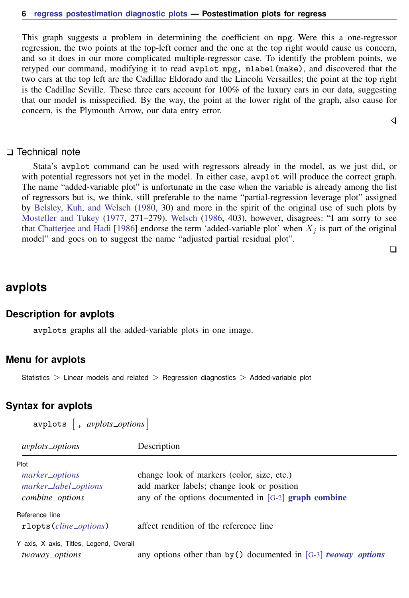This graph suggests a problem in determining the coefficient on mpg. Were this a one-regressor regression, the two points at the top-left corner and the one at the top right would cause us concern, and so it does in our more complicated multiple-regressor case. To identify the problem points, we retyped our command, modifying it to read avplot mpg, mlabel(make), and discovered that the two cars at the top left are the Cadillac Eldorado and the Lincoln Versailles; the point at the top right is the Cadillac Seville. These three cars account for 100% of the luxury cars in our data, suggesting that our model is misspecified. By the way, the point at the lower right of the graph, also cause for concern, is the Plymouth Arrow, our data entry error.

#### □ Technical note

Stata's avplot command can be used with regressors already in the model, as we just did, or with potential regressors not yet in the model. In either case, avplot will produce the correct graph. The name "added-variable plot" is unfortunate in the case when the variable is already among the list of regressors but is, we think, still preferable to the name "partial-regression leverage plot" assigned by [Belsley, Kuh, and Welsch](#page-17-2) [\(1980](#page-17-2), 30) and more in the spirit of the original use of such plots by [Mosteller and Tukey](#page-18-2) [\(1977](#page-18-2), 271–279). [Welsch](#page-18-3) [\(1986,](#page-18-3) 403), however, disagrees: "I am sorry to see that [Chatterjee and Hadi](#page-17-3) [\[1986](#page-17-3)] endorse the term 'added-variable plot' when  $X_i$  is part of the original model" and goes on to suggest the name "adjusted partial residual plot".

 $\Box$ 

◁

# <span id="page-5-0"></span>**avplots**

#### **Description for avplots**

avplots graphs all the added-variable plots in one image.

#### **Menu for avplots**

<span id="page-5-1"></span>Statistics  $>$  Linear models and related  $>$  Regression diagnostics  $>$  Added-variable plot

#### **Syntax for avplots**

avplots  $\left[$  , *avplots\_options*  $\right]$ 

| <i>avplots_options</i>                  | Description                                                            |
|-----------------------------------------|------------------------------------------------------------------------|
| Plot                                    |                                                                        |
| marker_options                          | change look of markers (color, size, etc.)                             |
| marker_label_options                    | add marker labels; change look or position                             |
| combine_options                         | any of the options documented in $[G-2]$ graph combine                 |
| Reference line                          |                                                                        |
| rlopts ( <i>cline_options</i> )         | affect rendition of the reference line                                 |
| Y axis, X axis, Titles, Legend, Overall |                                                                        |
| twoway_options                          | any options other than by () documented in [G-3] <i>twoway_options</i> |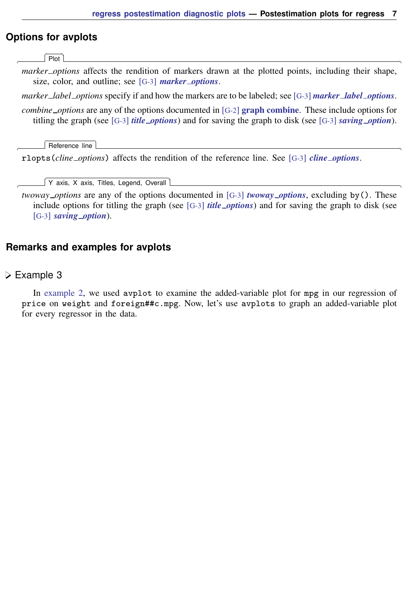## **Options for avplots**

[Plot] Plot Letters and the contract of the contract of the contract of the contract of the contract of the contract of the contract of the contract of the contract of the contract of the contract of the contract of the contract

✄

 $\overline{a}$ 

 $\overline{a}$ 

*marker options* affects the rendition of markers drawn at the plotted points, including their shape, size, color, and outline; see [G-3] *marker [options](https://www.stata.com/manuals/g-3marker_options.pdf#g-3marker_options)*.

*marker label options* specify if and how the markers are to be labeled; see [G-3] *marker label [options](https://www.stata.com/manuals/g-3marker_label_options.pdf#g-3marker_label_options)*.

*combine\_options* are any of the options documented in [G-2] [graph combine](https://www.stata.com/manuals/g-2graphcombine.pdf#g-2graphcombine). These include options for titling the graph (see [G-3] *title [options](https://www.stata.com/manuals/g-3title_options.pdf#g-3title_options)*) and for saving the graph to disk (see [G-3] *[saving](https://www.stata.com/manuals/g-3saving_option.pdf#g-3saving_option) option*).

Reference line Reference line **Later and the control of the control of the control of the control of the control of the control of the control of the control of the control of the control of the control of the control of the control of t** 

rlopts(*cline options*) affects the rendition of the reference line. See [G-3] *cline [options](https://www.stata.com/manuals/g-3cline_options.pdf#g-3cline_options)*.

✄ Y axis, X axis, Titles, Legend, Overall

*twoway options* are any of the options documented in [G-3] *[twoway](https://www.stata.com/manuals/g-3twoway_options.pdf#g-3twoway_options) options*, excluding by(). These include options for titling the graph (see [G-3] *title [options](https://www.stata.com/manuals/g-3title_options.pdf#g-3title_options)*) and for saving the graph to disk (see [G-3] *[saving](https://www.stata.com/manuals/g-3saving_option.pdf#g-3saving_option)\_option*).

#### **Remarks and examples for avplots**

#### Example 3

In [example 2,](https://www.stata.com/manuals/rregresspostestimationdiagnosticplotsavplotavplot_ex.pdf#rregresspostestimationdiagnosticplotsavplotavplot_ex) we used avplot to examine the added-variable plot for mpg in our regression of price on weight and foreign##c.mpg. Now, let's use avplots to graph an added-variable plot for every regressor in the data.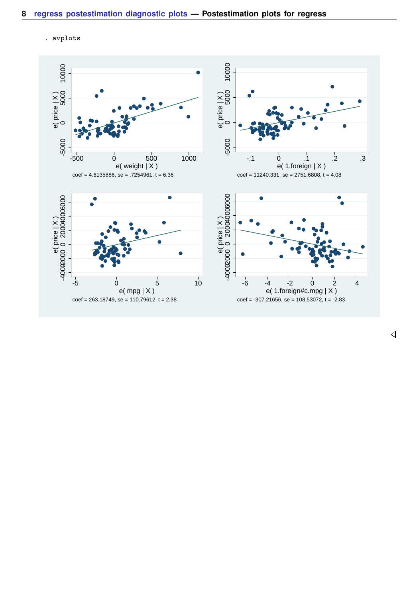. avplots

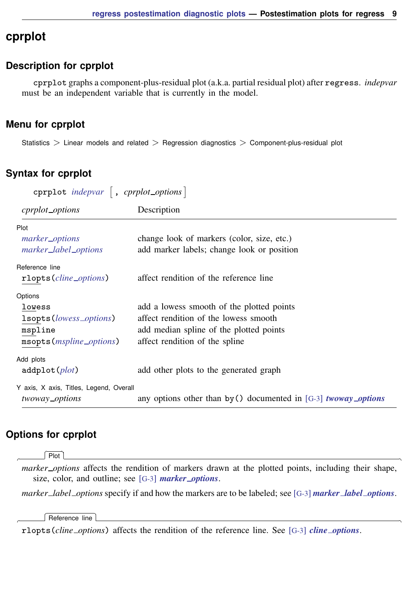# <span id="page-8-0"></span>**cprplot**

## **Description for cprplot**

cprplot graphs a component-plus-residual plot (a.k.a. partial residual plot) after regress. *indepvar* must be an independent variable that is currently in the model.

## **Menu for cprplot**

<span id="page-8-1"></span>Statistics > Linear models and related > Regression diagnostics > Component-plus-residual plot

## **Syntax for cprplot**

| cprplot indepvar $\vert$ , cprplot_options $\vert$ |                                                                        |  |  |
|----------------------------------------------------|------------------------------------------------------------------------|--|--|
| cprplot_options                                    | Description                                                            |  |  |
| Plot                                               |                                                                        |  |  |
| marker_options                                     | change look of markers (color, size, etc.)                             |  |  |
| marker_label_options                               | add marker labels; change look or position                             |  |  |
| Reference line                                     |                                                                        |  |  |
| rlopts (cline_options)                             | affect rendition of the reference line                                 |  |  |
| Options                                            |                                                                        |  |  |
| lowess                                             | add a lowess smooth of the plotted points                              |  |  |
| 1sopts ( <i>lowess_options</i> )                   | affect rendition of the lowess smooth                                  |  |  |
| mspline                                            | add median spline of the plotted points                                |  |  |
| msopts ( <i>mspline_options</i> )                  | affect rendition of the spline                                         |  |  |
| Add plots                                          |                                                                        |  |  |
| addplot(plot)                                      | add other plots to the generated graph                                 |  |  |
| Y axis, X axis, Titles, Legend, Overall            |                                                                        |  |  |
| twoway_options                                     | any options other than by () documented in [G-3] <i>twoway_options</i> |  |  |

# **Options for cprplot**

Plot Plot <u>and the contract of the contract of the contract of the contract of the contract of the contract of the contract of the contract of the contract of the contract of the contract of the contract of the contract of the </u>

 $\overline{a}$ 

 $\overline{a}$ 

*marker options* affects the rendition of markers drawn at the plotted points, including their shape, size, color, and outline; see [G-3] *marker [options](https://www.stata.com/manuals/g-3marker_options.pdf#g-3marker_options)*.

*marker label options* specify if and how the markers are to be labeled; see [G-3] *marker label [options](https://www.stata.com/manuals/g-3marker_label_options.pdf#g-3marker_label_options)*.

Reference line Reference line

rlopts(*cline options*) affects the rendition of the reference line. See [G-3] *cline [options](https://www.stata.com/manuals/g-3cline_options.pdf#g-3cline_options)*.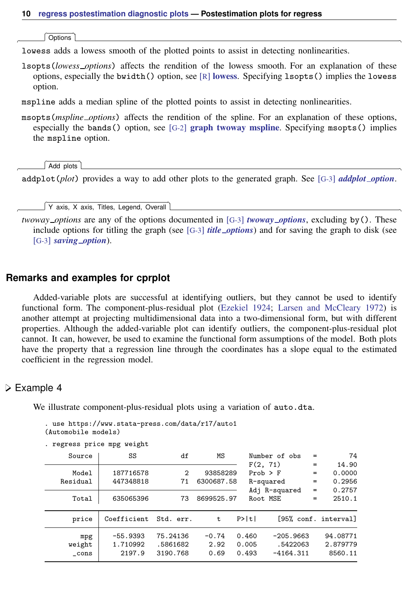| Options | Options <u>Later and the contract of the contract of the contract of the contract of the contract of the contract of the contract of the contract of the contract of the contract of the contract of the contract of the contrac</u>

 $\overline{a}$ 

✄

 $\overline{a}$ 

lowess adds a lowess smooth of the plotted points to assist in detecting nonlinearities.

lsopts(*lowess options*) affects the rendition of the lowess smooth. For an explanation of these options, especially the bwidth() option, see  $\lceil R \rceil$  [lowess](https://www.stata.com/manuals/rlowess.pdf#rlowess). Specifying lsopts() implies the lowess option.

mspline adds a median spline of the plotted points to assist in detecting nonlinearities.

msopts(*mspline options*) affects the rendition of the spline. For an explanation of these options, especially the bands() option, see  $[G-2]$  [graph twoway mspline](https://www.stata.com/manuals/g-2graphtwowaymspline.pdf#g-2graphtwowaymspline). Specifying msopts() implies the mspline option.

Add plots Add plots **the contract of the contract of the contract of the contract of the contract of the contract of the contract of the contract of the contract of the contract of the contract of the contract of the contract of the** 

addplot(*plot*) provides a way to add other plots to the generated graph. See [G-3] *[addplot](https://www.stata.com/manuals/g-3addplot_option.pdf#g-3addplot_option) option*.

✄ Y axis, X axis, Titles, Legend, Overall

*twoway options* are any of the options documented in [G-3] *[twoway](https://www.stata.com/manuals/g-3twoway_options.pdf#g-3twoway_options) options*, excluding by(). These include options for titling the graph (see [G-3] *title [options](https://www.stata.com/manuals/g-3title_options.pdf#g-3title_options)*) and for saving the graph to disk (see [G-3] *[saving](https://www.stata.com/manuals/g-3saving_option.pdf#g-3saving_option) option*).

## **Remarks and examples for cprplot**

Added-variable plots are successful at identifying outliers, but they cannot be used to identify functional form. The component-plus-residual plot [\(Ezekiel](#page-17-4) [1924;](#page-17-4) [Larsen and McCleary](#page-17-5) [1972\)](#page-17-5) is another attempt at projecting multidimensional data into a two-dimensional form, but with different properties. Although the added-variable plot can identify outliers, the component-plus-residual plot cannot. It can, however, be used to examine the functional form assumptions of the model. Both plots have the property that a regression line through the coordinates has a slope equal to the estimated coefficient in the regression model.

#### **▷** Example 4

We illustrate component-plus-residual plots using a variation of auto.dta.

. use https://www.stata-press.com/data/r17/auto1  $(Mutombi]$ e models)

| AAGCOMODIIE MOGGIST |  |
|---------------------|--|
|                     |  |

|          | . regress price mpg weight |          |            |              |               |     |                      |
|----------|----------------------------|----------|------------|--------------|---------------|-----|----------------------|
| Source   | SS                         | df       | МS         |              | Number of obs |     | 74                   |
|          |                            |          |            | F(2, 71)     |               | $=$ | 14.90                |
| Model    | 187716578                  | 2        | 93858289   | $Prob$ > $F$ |               | $=$ | 0.0000               |
| Residual | 447348818                  | 71       | 6300687.58 |              | R-squared     | $=$ | 0.2956               |
|          |                            |          |            |              | Adj R-squared | $=$ | 0.2757               |
| Total    | 635065396                  | 73       | 8699525.97 |              | Root MSE      | $=$ | 2510.1               |
|          |                            |          |            |              |               |     |                      |
| price    | Coefficient Std. err.      |          | t.         | P>  t        |               |     | [95% conf. interval] |
| mpg      | $-55.9393$                 | 75.24136 | $-0.74$    | 0.460        | $-205.9663$   |     | 94.08771             |
| weight   | 1.710992                   | .5861682 | 2.92       | 0.005        | .5422063      |     | 2.879779             |
| $\_cons$ | 2197.9                     | 3190.768 | 0.69       | 0.493        | $-4164.311$   |     | 8560.11              |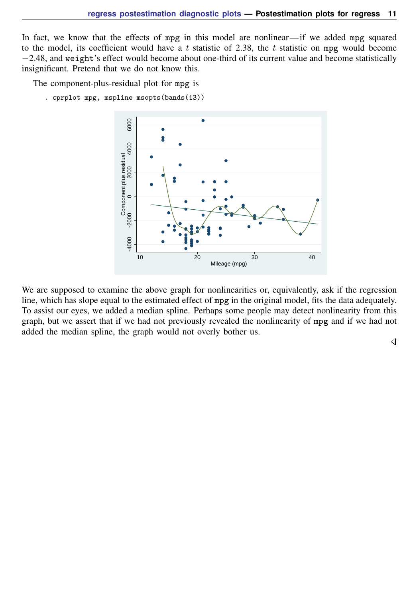In fact, we know that the effects of mpg in this model are nonlinear—if we added mpg squared to the model, its coefficient would have a t statistic of 2.38, the t statistic on mpg would become −2.48, and weight's effect would become about one-third of its current value and become statistically insignificant. Pretend that we do not know this.

The component-plus-residual plot for mpg is

. cprplot mpg, mspline msopts(bands(13))



We are supposed to examine the above graph for nonlinearities or, equivalently, ask if the regression line, which has slope equal to the estimated effect of mpg in the original model, fits the data adequately. To assist our eyes, we added a median spline. Perhaps some people may detect nonlinearity from this graph, but we assert that if we had not previously revealed the nonlinearity of mpg and if we had not added the median spline, the graph would not overly bother us.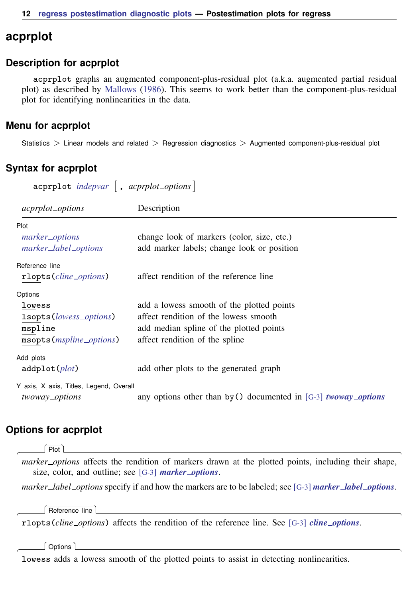# <span id="page-11-0"></span>**acprplot**

#### **Description for acprplot**

acprplot graphs an augmented component-plus-residual plot (a.k.a. augmented partial residual plot) as described by [Mallows](#page-18-1) [\(1986](#page-18-1)). This seems to work better than the component-plus-residual plot for identifying nonlinearities in the data.

#### **Menu for acprplot**

<span id="page-11-1"></span>Statistics > Linear models and related > Regression diagnostics > Augmented component-plus-residual plot

#### **Syntax for acprplot**

| $a$ cprplot <i>indepvar</i> , <i>acprplot_options</i> |                                                                        |  |  |
|-------------------------------------------------------|------------------------------------------------------------------------|--|--|
| <i>acprplot_options</i>                               | Description                                                            |  |  |
| Plot                                                  |                                                                        |  |  |
| marker_options                                        | change look of markers (color, size, etc.)                             |  |  |
| marker_label_options                                  | add marker labels; change look or position                             |  |  |
| Reference line                                        |                                                                        |  |  |
| rlopts ( <i>cline_options</i> )                       | affect rendition of the reference line                                 |  |  |
| Options                                               |                                                                        |  |  |
| lowess                                                | add a lowess smooth of the plotted points                              |  |  |
| 1sopts (lowess_options)                               | affect rendition of the lowess smooth                                  |  |  |
| mspline                                               | add median spline of the plotted points                                |  |  |
| msopts ( <i>mspline_options</i> )                     | affect rendition of the spline                                         |  |  |
| Add plots                                             |                                                                        |  |  |
| addplot(plot)                                         | add other plots to the generated graph                                 |  |  |
| Y axis, X axis, Titles, Legend, Overall               |                                                                        |  |  |
| twoway_options                                        | any options other than by () documented in [G-3] <i>twoway_options</i> |  |  |

#### **Options for acprplot**

Plot<sup>1</sup> Plot Learning and the contract of the contract of the contract of the contract of the contract of the contract of the contract of the contract of the contract of the contract of the contract of the contract of the contract

 $\overline{a}$ 

 $\overline{a}$ 

 $\overline{a}$ 

*marker options* affects the rendition of markers drawn at the plotted points, including their shape, size, color, and outline; see [G-3] *marker [options](https://www.stata.com/manuals/g-3marker_options.pdf#g-3marker_options)*.

*marker label options* specify if and how the markers are to be labeled; see [G-3] *marker label [options](https://www.stata.com/manuals/g-3marker_label_options.pdf#g-3marker_label_options)*.

Reference line Reference line

rlopts(*cline options*) affects the rendition of the reference line. See [G-3] *cline [options](https://www.stata.com/manuals/g-3cline_options.pdf#g-3cline_options)*.

Options Options **Designations** 

lowess adds a lowess smooth of the plotted points to assist in detecting nonlinearities.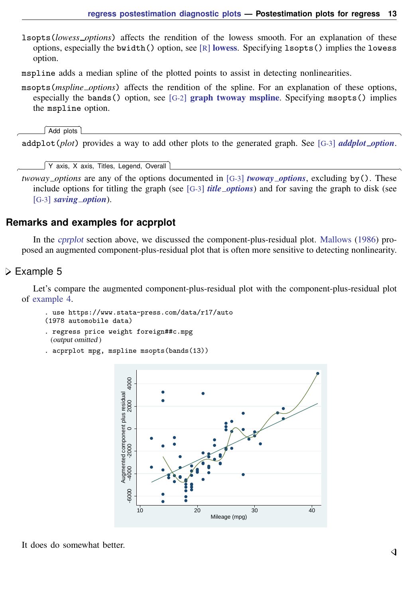- lsopts(*lowess options*) affects the rendition of the lowess smooth. For an explanation of these options, especially the bwidth() option, see  $\lceil R \rceil$  [lowess](https://www.stata.com/manuals/rlowess.pdf#rlowess). Specifying lsopts() implies the lowess option.
- mspline adds a median spline of the plotted points to assist in detecting nonlinearities.
- msopts(*mspline options*) affects the rendition of the spline. For an explanation of these options, especially the bands() option, see  $[G-2]$  [graph twoway mspline](https://www.stata.com/manuals/g-2graphtwowaymspline.pdf#g-2graphtwowaymspline). Specifying msopts() implies the mspline option.

Add plots Add plots **be a set of the contract of the contract of the contract of the contract of the contract of the contract of the contract of the contract of the contract of the contract of the contract of the contract of the con** 

 $\overline{a}$ addplot(*plot*) provides a way to add other plots to the generated graph. See [G-3] *[addplot](https://www.stata.com/manuals/g-3addplot_option.pdf#g-3addplot_option) option*.

✄ Y axis, X axis, Titles, Legend, Overall

*twoway options* are any of the options documented in [G-3] *[twoway](https://www.stata.com/manuals/g-3twoway_options.pdf#g-3twoway_options) options*, excluding by(). These include options for titling the graph (see [G-3] *title [options](https://www.stata.com/manuals/g-3title_options.pdf#g-3title_options)*) and for saving the graph to disk (see [G-3] *[saving](https://www.stata.com/manuals/g-3saving_option.pdf#g-3saving_option) option*).

#### **Remarks and examples for acprplot**

In the [cprplot](https://www.stata.com/manuals/rregresspostestimationdiagnosticplotscprplot.pdf#rregresspostestimationdiagnosticplotscprplot) section above, we discussed the component-plus-residual plot. [Mallows](#page-18-1) ([1986\)](#page-18-1) proposed an augmented component-plus-residual plot that is often more sensitive to detecting nonlinearity.

#### **▷** Example 5

 $\overline{a}$ 

Let's compare the augmented component-plus-residual plot with the component-plus-residual plot of [example 4](https://www.stata.com/manuals/rregresspostestimationdiagnosticplotscprplotcprplot_ex.pdf#rregresspostestimationdiagnosticplotscprplotcprplot_ex).

. use https://www.stata-press.com/data/r17/auto (1978 automobile data)

- . regress price weight foreign##c.mpg (output omitted )
- . acprplot mpg, mspline msopts(bands(13))

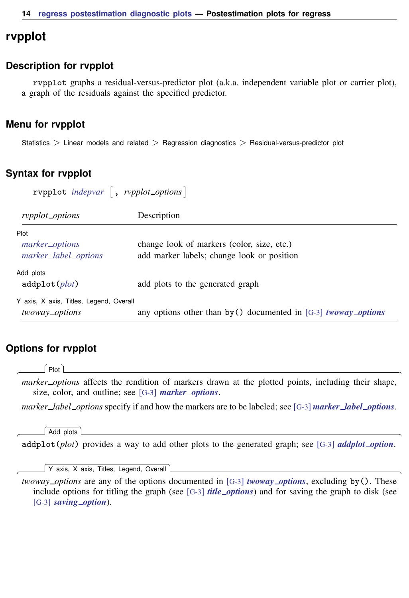## <span id="page-13-0"></span>**rvpplot**

#### **Description for rvpplot**

rvpplot graphs a residual-versus-predictor plot (a.k.a. independent variable plot or carrier plot), a graph of the residuals against the specified predictor.

#### **Menu for rvpplot**

<span id="page-13-1"></span>Statistics > Linear models and related > Regression diagnostics > Residual-versus-predictor plot

#### **Syntax for rvpplot**

 $r$ vpplot *[indepvar](https://www.stata.com/manuals/u11.pdf#u11.4varnameandvarlists)*  $\begin{bmatrix} , & r\nu pplot\_options \end{bmatrix}$ 

| rypplot_options                                           | Description                                                                              |
|-----------------------------------------------------------|------------------------------------------------------------------------------------------|
| Plot<br>marker_options<br>marker_label_options            | change look of markers (color, size, etc.)<br>add marker labels; change look or position |
| Add plots<br>addplot(plot)                                | add plots to the generated graph                                                         |
| Y axis, X axis, Titles, Legend, Overall<br>twoway_options | any options other than by () documented in [G-3] <i>twoway_options</i>                   |

### **Options for rvpplot**

**Plot** Plot Letters and the contract of the contract of the contract of the contract of the contract of the contract of the contract of the contract of the contract of the contract of the contract of the contract of the contract

 $\overline{a}$ 

 $\overline{a}$ 

 $\overline{a}$ 

*marker options* affects the rendition of markers drawn at the plotted points, including their shape, size, color, and outline; see [G-3] *marker [options](https://www.stata.com/manuals/g-3marker_options.pdf#g-3marker_options)*.

*marker label options* specify if and how the markers are to be labeled; see [G-3] *marker label [options](https://www.stata.com/manuals/g-3marker_label_options.pdf#g-3marker_label_options)*.

Add plots Add plots **the contract of the contract of the contract of the contract of the contract of the contract of the contract of the contract of the contract of the contract of the contract of the contract of the contract of the** 

addplot(*plot*) provides a way to add other plots to the generated graph; see [G-3] *[addplot](https://www.stata.com/manuals/g-3addplot_option.pdf#g-3addplot_option) option*.

✄ Y axis, X axis, Titles, Legend, Overall

*twoway options* are any of the options documented in [G-3] *[twoway](https://www.stata.com/manuals/g-3twoway_options.pdf#g-3twoway_options) options*, excluding by(). These include options for titling the graph (see [G-3] *title [options](https://www.stata.com/manuals/g-3title_options.pdf#g-3title_options)*) and for saving the graph to disk (see [G-3] *[saving](https://www.stata.com/manuals/g-3saving_option.pdf#g-3saving_option) option*).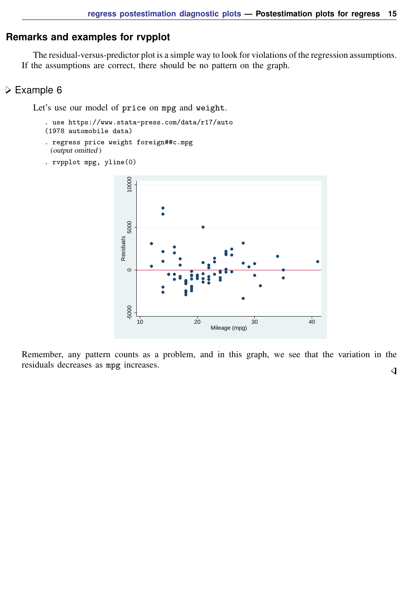# **Remarks and examples for rvpplot**

The residual-versus-predictor plot is a simple way to look for violations of the regression assumptions. If the assumptions are correct, there should be no pattern on the graph.

# Example 6

Let's use our model of price on mpg and weight.

```
. use https://www.stata-press.com/data/r17/auto
(1978 automobile data)
```
- . regress price weight foreign##c.mpg (output omitted )
- . rvpplot mpg, yline(0)



Remember, any pattern counts as a problem, and in this graph, we see that the variation in the residuals decreases as mpg increases. $\overline{4}$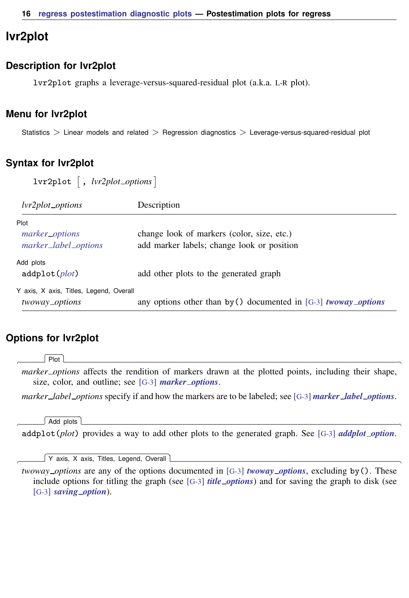# <span id="page-15-0"></span>**lvr2plot**

#### **Description for lvr2plot**

lvr2plot graphs a leverage-versus-squared-residual plot (a.k.a. L-R plot).

#### **Menu for lvr2plot**

<span id="page-15-1"></span>Statistics > Linear models and related > Regression diagnostics > Leverage-versus-squared-residual plot

## **Syntax for lvr2plot**

| $lvr2plot$ , $lvr2plot\_options$                          |                                                                                          |  |  |
|-----------------------------------------------------------|------------------------------------------------------------------------------------------|--|--|
| <i>lvr2plot_options</i>                                   | Description                                                                              |  |  |
| Plot<br>marker_options<br>marker_label_options            | change look of markers (color, size, etc.)<br>add marker labels; change look or position |  |  |
| Add plots<br>addplot(plot)                                | add other plots to the generated graph                                                   |  |  |
| Y axis, X axis, Titles, Legend, Overall<br>twoway_options | any options other than by () documented in [G-3] <i>twoway_options</i>                   |  |  |

## **Options for lvr2plot**

Plot Plot <u>and</u> the contract of the contract of the contract of the contract of the contract of the contract of the contract of the contract of the contract of the contract of the contract of the contract of the contract of the

 $\overline{a}$ 

 $\overline{a}$ 

 $\overline{a}$ 

*marker options* affects the rendition of markers drawn at the plotted points, including their shape, size, color, and outline; see [G-3] *marker [options](https://www.stata.com/manuals/g-3marker_options.pdf#g-3marker_options)*.

*marker label options* specify if and how the markers are to be labeled; see [G-3] *marker label [options](https://www.stata.com/manuals/g-3marker_label_options.pdf#g-3marker_label_options)*.

#### Add plots Add plots **contract that the contract of the contract of the contract of the contract of the contract of the contract of the contract of the contract of the contract of the contract of the contract of the contract of the c**

addplot(*plot*) provides a way to add other plots to the generated graph. See [G-3] *[addplot](https://www.stata.com/manuals/g-3addplot_option.pdf#g-3addplot_option) option*.

✄ Y axis, X axis, Titles, Legend, Overall

*twoway options* are any of the options documented in [G-3] *[twoway](https://www.stata.com/manuals/g-3twoway_options.pdf#g-3twoway_options) options*, excluding by(). These include options for titling the graph (see [G-3] *title [options](https://www.stata.com/manuals/g-3title_options.pdf#g-3title_options)*) and for saving the graph to disk (see [G-3] *[saving](https://www.stata.com/manuals/g-3saving_option.pdf#g-3saving_option)\_option*).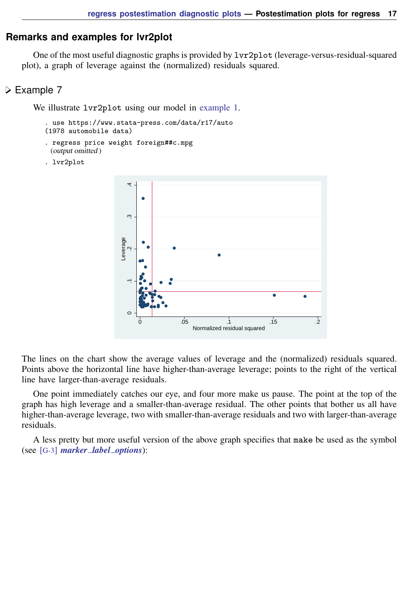#### **Remarks and examples for lvr2plot**

One of the most useful diagnostic graphs is provided by lvr2plot (leverage-versus-residual-squared plot), a graph of leverage against the (normalized) residuals squared.

## **▷** Example 7

We illustrate  $lvr2plot$  using our model in [example 1](https://www.stata.com/manuals/rregresspostestimationdiagnosticplotsrvfplotrvfplot_ex.pdf#rregresspostestimationdiagnosticplotsrvfplotrvfplot_ex).

```
. use https://www.stata-press.com/data/r17/auto
(1978 automobile data)
```
- . regress price weight foreign##c.mpg (output omitted )
- . lvr2plot



The lines on the chart show the average values of leverage and the (normalized) residuals squared. Points above the horizontal line have higher-than-average leverage; points to the right of the vertical line have larger-than-average residuals.

One point immediately catches our eye, and four more make us pause. The point at the top of the graph has high leverage and a smaller-than-average residual. The other points that bother us all have higher-than-average leverage, two with smaller-than-average residuals and two with larger-than-average residuals.

A less pretty but more useful version of the above graph specifies that make be used as the symbol (see [G-3] *marker label [options](https://www.stata.com/manuals/g-3marker_label_options.pdf#g-3marker_label_options)*):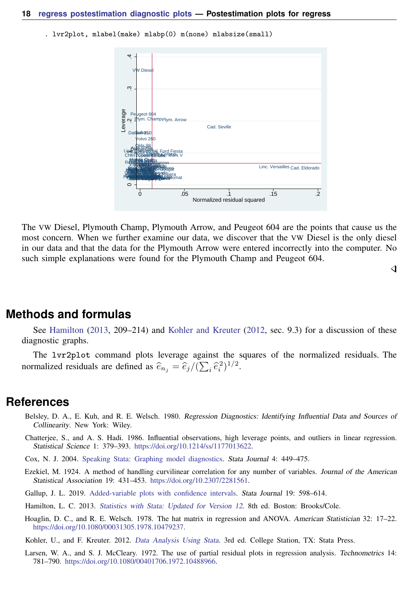. lvr2plot, mlabel(make) mlabp(0) m(none) mlabsize(small)



The VW Diesel, Plymouth Champ, Plymouth Arrow, and Peugeot 604 are the points that cause us the most concern. When we further examine our data, we discover that the VW Diesel is the only diesel in our data and that the data for the Plymouth Arrow were entered incorrectly into the computer. No such simple explanations were found for the Plymouth Champ and Peugeot 604.

◁

<span id="page-17-0"></span>**Methods and formulas**

See [Hamilton](#page-17-6) [\(2013](#page-17-6), 209–214) and [Kohler and Kreuter](#page-17-7) [\(2012,](#page-17-7) sec. 9.3) for a discussion of these diagnostic graphs.

<span id="page-17-1"></span>The lvr2plot command plots leverage against the squares of the normalized residuals. The normalized residuals are defined as  $\hat{e}_{n_j} = \hat{e}_j/(\sum_i \hat{e}_i^2)^{1/2}$ .

# **References**

- <span id="page-17-2"></span>Belsley, D. A., E. Kuh, and R. E. Welsch. 1980. Regression Diagnostics: Identifying Influential Data and Sources of Collinearity. New York: Wiley.
- <span id="page-17-3"></span>Chatterjee, S., and A. S. Hadi. 1986. Influential observations, high leverage points, and outliers in linear regression. Statistical Science 1: 379–393. <https://doi.org/10.1214/ss/1177013622>.
- Cox, N. J. 2004. [Speaking Stata: Graphing model diagnostics.](http://www.stata-journal.com/article.html?article=gr0009) Stata Journal 4: 449–475.
- <span id="page-17-4"></span>Ezekiel, M. 1924. A method of handling curvilinear correlation for any number of variables. Journal of the American Statistical Association 19: 431–453. [https://doi.org/10.2307/2281561.](https://doi.org/10.2307/2281561)
- Gallup, J. L. 2019. [Added-variable plots with confidence intervals](https://doi.org/10.1177/1536867X19874236). Stata Journal 19: 598–614.
- <span id="page-17-6"></span>Hamilton, L. C. 2013. [Statistics with Stata: Updated for Version 12](http://www.stata.com/bookstore/statistics-with-stata/). 8th ed. Boston: Brooks/Cole.
- Hoaglin, D. C., and R. E. Welsch. 1978. The hat matrix in regression and ANOVA. American Statistician 32: 17–22. [https://doi.org/10.1080/00031305.1978.10479237.](https://doi.org/10.1080/00031305.1978.10479237)
- <span id="page-17-7"></span>Kohler, U., and F. Kreuter. 2012. [Data Analysis Using Stata](http://www.stata-press.com/books/data-analysis-using-stata). 3rd ed. College Station, TX: Stata Press.
- <span id="page-17-5"></span>Larsen, W. A., and S. J. McCleary. 1972. The use of partial residual plots in regression analysis. Technometrics 14: 781–790. [https://doi.org/10.1080/00401706.1972.10488966.](https://doi.org/10.1080/00401706.1972.10488966)